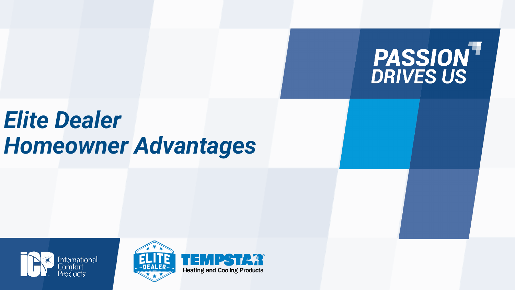

# *Elite Dealer Homeowner Advantages*





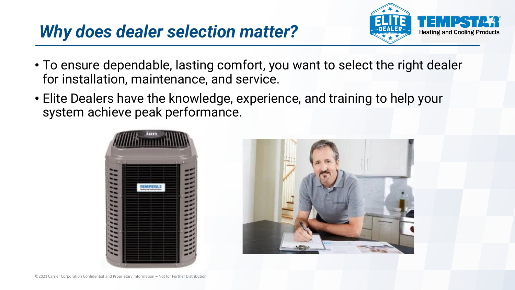#### *Why does dealer selection matter?*



- To ensure dependable, lasting comfort, you want to select the right dealer for installation, maintenance, and service.
- Elite Dealers have the knowledge, experience, and training to help your system achieve peak performance.



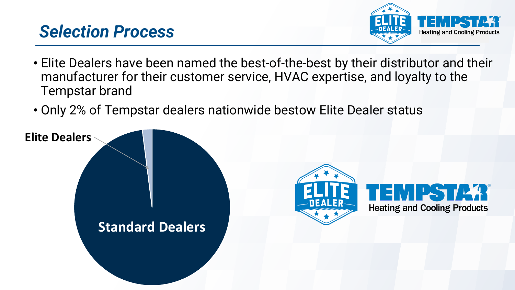#### *Selection Process*



- Elite Dealers have been named the best-of-the-best by their distributor and their manufacturer for their customer service, HVAC expertise, and loyalty to the Tempstar brand
- Only 2% of Tempstar dealers nationwide bestow Elite Dealer status

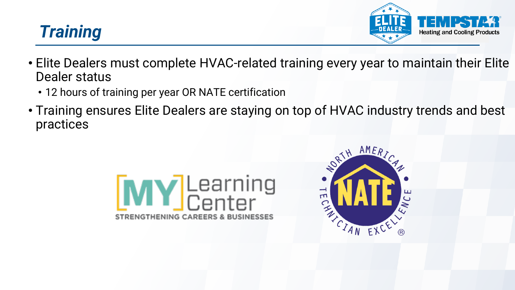### *Training*



- Elite Dealers must complete HVAC-related training every year to maintain their Elite Dealer status
	- 12 hours of training per year OR NATE certification
- Training ensures Elite Dealers are staying on top of HVAC industry trends and best practices



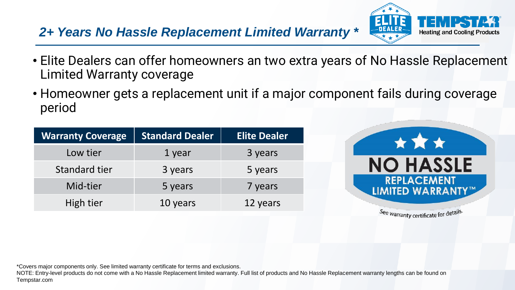#### *2+ Years No Hassle Replacement Limited Warranty \**



- Elite Dealers can offer homeowners an two extra years of No Hassle Replacement Limited Warranty coverage
- Homeowner gets a replacement unit if a major component fails during coverage period

| <b>Warranty Coverage</b> | <b>Standard Dealer</b> | <b>Elite Dealer</b> |
|--------------------------|------------------------|---------------------|
| Low tier                 | 1 year                 | 3 years             |
| Standard tier            | 3 years                | 5 years             |
| Mid-tier                 | 5 years                | 7 years             |
| High tier                | 10 years               | 12 years            |



See warranty certificate for details.

\*Covers major components only. See limited warranty certificate for terms and exclusions.

NOTE: Entry-level products do not come with a No Hassle Replacement limited warranty. Full list of products and No Hassle Replacement warranty lengths can be found on Tempstar.com